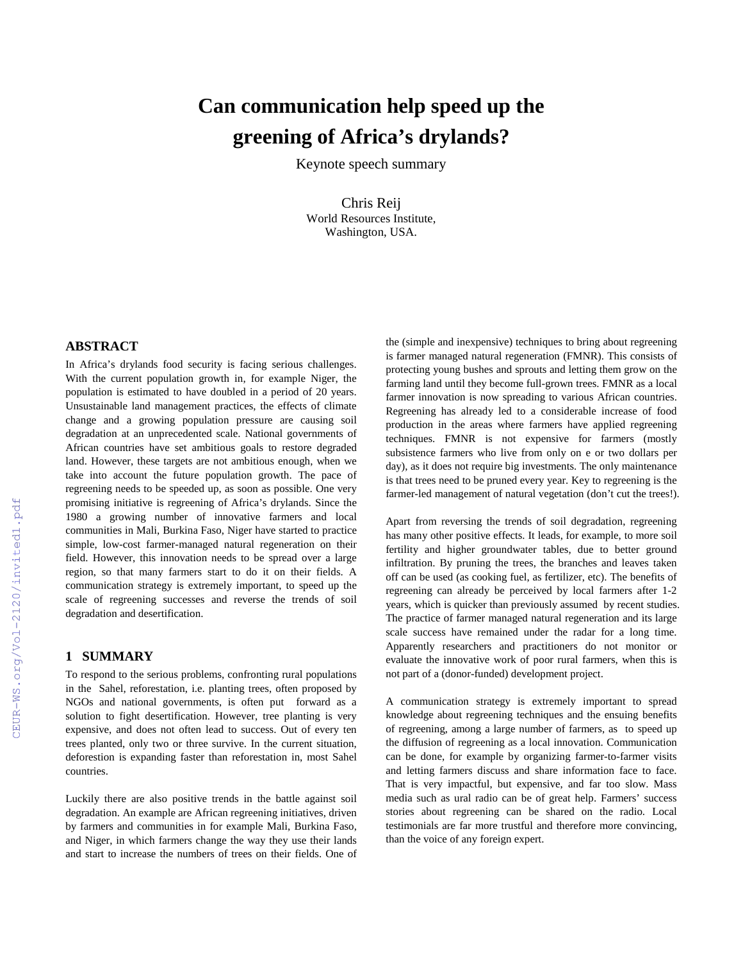## **Can communication help speed up the greening of Africa's drylands?**

Keynote speech summary

Chris Reij World Resources Institute, Washington, USA.

In Africa's drylands food security is facing serious challenges. With the current population growth in, for example Niger, the population is estimated to have doubled in a period of 20 years. Unsustainable land management practices, the effects of climate change and a growing population pressure are causing soil degradation at an unprecedented scale. National governments of African countries have set ambitious goals to restore degraded land. However, these targets are not ambitious enough, when we take into account the future population growth. The pace of regreening needs to be speeded up, as soon as possible. One very promising initiative is regreening of Africa's drylands. Since the 1980 a growing number of innovative farmers and local communities in Mali, Burkina Faso, Niger have started to practice simple, low-cost farmer-managed natural regeneration on their field. However, this innovation needs to be spread over a large region, so that many farmers start to do it on their fields. A communication strategy is extremely important, to speed up the scale of regreening successes and reverse the trends of soil degradation and desertification.

## **1 SUMMARY**

To respond to the serious problems, confronting rural populations in the Sahel, reforestation, i.e. planting trees, often proposed by NGOs and national governments, is often put forward as a solution to fight desertification. However, tree planting is very expensive, and does not often lead to success. Out of every ten trees planted, only two or three survive. In the current situation, deforestion is expanding faster than reforestation in, most Sahel countries.

Luckily there are also positive trends in the battle against soil degradation. An example are African regreening initiatives, driven by farmers and communities in for example Mali, Burkina Faso, and Niger, in which farmers change the way they use their lands and start to increase the numbers of trees on their fields. One of

the (simple and inexpensive) techniques to bring about regreening is farmer managed natural regeneration (FMNR). This consists of protecting young bushes and sprouts and letting them grow on the farming land until they become full-grown trees. FMNR as a local farmer innovation is now spreading to various African countries. Regreening has already led to a considerable increase of food production in the areas where farmers have applied regreening techniques. FMNR is not expensive for farmers (mostly subsistence farmers who live from only on e or two dollars per day), as it does not require big investments. The only maintenance is that trees need to be pruned every year. Key to regreening is the farmer-led management of natural vegetation (don't cut the trees!).

Apart from reversing the trends of soil degradation, regreening has many other positive effects. It leads, for example, to more soil fertility and higher groundwater tables, due to better ground infiltration. By pruning the trees, the branches and leaves taken off can be used (as cooking fuel, as fertilizer, etc). The benefits of regreening can already be perceived by local farmers after 1-2 years, which is quicker than previously assumed by recent studies. The practice of farmer managed natural regeneration and its large scale success have remained under the radar for a long time. Apparently researchers and practitioners do not monitor or evaluate the innovative work of poor rural farmers, when this is not part of a (donor-funded) development project.

A communication strategy is extremely important to spread knowledge about regreening techniques and the ensuing benefits of regreening, among a large number of farmers, as to speed up the diffusion of regreening as a local innovation. Communication can be done, for example by organizing farmer-to-farmer visits and letting farmers discuss and share information face to face. That is very impactful, but expensive, and far too slow. Mass media such as ural radio can be of great help. Farmers' success stories about regreening can be shared on the radio. Local testimonials are far more trustful and therefore more convincing, than the voice of any foreign expert.